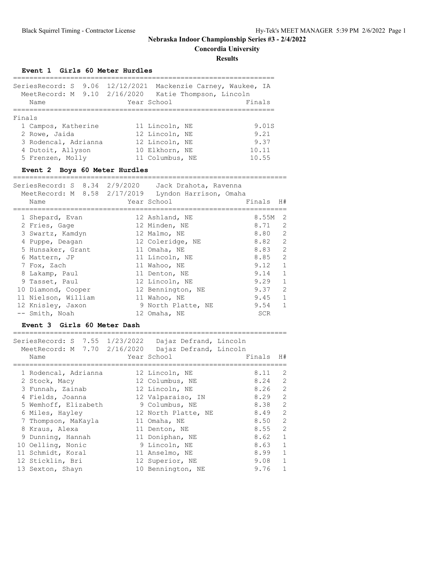**Concordia University**

**Results**

#### **Event 1 Girls 60 Meter Hurdles**

| MeetRecord: M 9.10 2/16/2020<br>Name | SeriesRecord: S 9.06 12/12/2021 Mackenzie Carney, Waukee, IA<br>Katie Thompson, Lincoln<br>Year School | Finals |
|--------------------------------------|--------------------------------------------------------------------------------------------------------|--------|
| Finals                               |                                                                                                        |        |
| 1 Campos, Katherine                  | 11 Lincoln, NE                                                                                         | 9.01S  |
| 2 Rowe, Jaida                        | 12 Lincoln, NE                                                                                         | 9.21   |
| 3 Rodencal, Adrianna                 | 12 Lincoln, NE                                                                                         | 9.37   |
| 4 Dutoit, Allyson                    | 10 Elkhorn, NE                                                                                         | 10.11  |
| 5 Frenzen, Molly                     | 11 Columbus, NE                                                                                        | 10.55  |
|                                      |                                                                                                        |        |

## **Event 2 Boys 60 Meter Hurdles**

| SeriesRecord: S 8.34 2/9/2020 Jack Drahota, Ravenna<br>MeetRecord: M 8.58 2/17/2019 Lyndon Harrison, Omaha<br>Name | Year School        | Finals<br>H#           |
|--------------------------------------------------------------------------------------------------------------------|--------------------|------------------------|
| 1 Shepard, Evan                                                                                                    | 12 Ashland, NE     | 8.55M<br>2             |
| 2 Fries, Gage                                                                                                      | 12 Minden, NE      | 2<br>8.71              |
| 3 Swartz, Kamdyn                                                                                                   | 12 Malmo, NE       | 2<br>8.80              |
| 4 Puppe, Deagan                                                                                                    | 12 Coleridge, NE   | $\overline{2}$<br>8.82 |
| 5 Hunsaker, Grant                                                                                                  | 11 Omaha, NE       | $\overline{2}$<br>8.83 |
| 6 Mattern, JP                                                                                                      | 11 Lincoln, NE     | $\mathcal{L}$<br>8.85  |
| 7 Fox, Zach                                                                                                        | 11 Wahoo, NE       | $\mathbf{1}$<br>9.12   |
| 8 Lakamp, Paul                                                                                                     | 11 Denton, NE      | $\mathbf{1}$<br>9.14   |
| 9 Tasset, Paul                                                                                                     | 12 Lincoln, NE     | $\mathbf{1}$<br>9.29   |
| 10 Diamond, Cooper                                                                                                 | 12 Bennington, NE  | 2<br>9.37              |
| 11 Nielson, William                                                                                                | 11 Wahoo, NE       | $\mathbf{1}$<br>9.45   |
| 12 Knisley, Jaxon                                                                                                  | 9 North Platte, NE | $\mathbf{1}$<br>9.54   |
| -- Smith, Noah                                                                                                     | 12 Omaha, NE       | <b>SCR</b>             |

#### **Event 3 Girls 60 Meter Dash**

=================================================================== SeriesRecord: S 7.55 1/23/2022 Dajaz Defrand, Lincoln

| MeetRecord: M 7.70 2/16/2020 Dajaz Defrand, Lincoln<br>Name | Year School         | Finals   | H#                         |
|-------------------------------------------------------------|---------------------|----------|----------------------------|
|                                                             |                     |          |                            |
| 1 Rodencal, Adrianna                                        | 12 Lincoln, NE      | 8.11     | -2                         |
| 2 Stock, Macy                                               | 12 Columbus, NE     | 8.24 2   |                            |
| 3 Funnah, Zainab                                            | 12 Lincoln, NE      | $8.26$ 2 |                            |
| 4 Fields, Joanna                                            | 12 Valparaiso, IN   | $8.29$ 2 |                            |
| 5 Wemhoff, Elizabeth                                        | 9 Columbus, NE      | 8.38 2   |                            |
| 6 Miles, Hayley                                             | 12 North Platte, NE | 8.49     | $\overline{\phantom{0}}^2$ |
| 7 Thompson, MaKayla                                         | 11 Omaha, NE        | 8.50 2   |                            |
| 8 Kraus, Alexa                                              | 11 Denton, NE       | 8.55 2   |                            |
| 9 Dunning, Hannah                                           | 11 Doniphan, NE     | 8.62 1   |                            |
| 10 Oelling, Nonic                                           | 9 Lincoln, NE       | $8.63$ 1 |                            |
| 11 Schmidt, Koral                                           | 11 Anselmo, NE      | $8.99$ 1 |                            |
| 12 Sticklin, Bri                                            | 12 Superior, NE     | $9.08$ 1 |                            |
| 13 Sexton, Shayn                                            | 10 Bennington, NE   | 9.76     | $\overline{1}$             |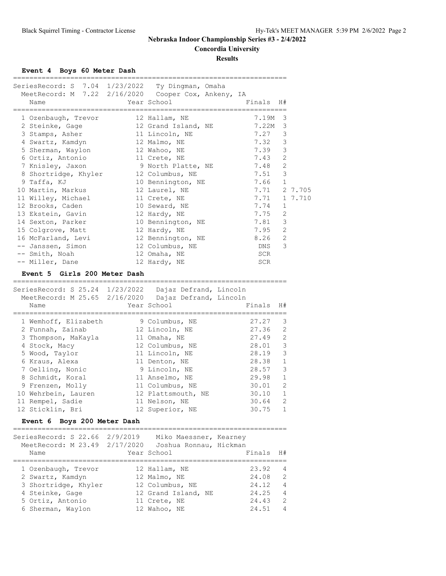**Concordia University**

**Results**

#### **Event 4 Boys 60 Meter Dash**

|                                                                                |                                       | ==============              |                |         |
|--------------------------------------------------------------------------------|---------------------------------------|-----------------------------|----------------|---------|
| SeriesRecord: S 7.04 1/23/2022 Ty Dingman, Omaha                               |                                       |                             |                |         |
| MeetRecord: M 7.22 2/16/2020 Cooper Cox, Ankeny, IA                            |                                       |                             |                |         |
| Name                                                                           | Year School                           | Finals                      | H#             |         |
|                                                                                |                                       |                             |                |         |
| 1 Ozenbaugh, Trevor                                                            | 12 Hallam, NE                         | 7.19M                       | 3              |         |
| 2 Steinke, Gage                                                                | 12 Grand Island, NE                   | 7.22M                       | 3              |         |
| 3 Stamps, Asher                                                                | 11 Lincoln, NE                        | 7.27                        | 3              |         |
|                                                                                |                                       |                             |                |         |
| 4 Swartz, Kamdyn                                                               | 12 Malmo, NE                          | 7.32                        | 3              |         |
| 5 Sherman, Waylon                                                              | 12 Wahoo, NE                          | 7.39                        | $\mathcal{S}$  |         |
| 6 Ortiz, Antonio                                                               | 11 Crete, NE                          | 7.43                        | $\mathbf{2}$   |         |
| 7 Knisley, Jaxon                                                               | 9 North Platte, NE                    | 7.48                        | 2              |         |
| 8 Shortridge, Khyler                                                           | 12 Columbus, NE                       | 7.51                        | $\mathcal{S}$  |         |
| 9 Taffa, KJ                                                                    | 10 Bennington, NE                     | 7.66                        | $\mathbf{1}$   |         |
| 10 Martin, Markus                                                              | 12 Laurel, NE                         | 7.71                        |                | 2 7.705 |
| 11 Willey, Michael                                                             | 11 Crete, NE                          | 7.71                        |                | 1 7.710 |
| 12 Brooks, Caden                                                               | 10 Seward, NE                         | 7.74                        | 1              |         |
| 13 Ekstein, Gavin                                                              | 12 Hardy, NE                          | 7.75                        | 2              |         |
| 14 Sexton, Parker                                                              | 10 Bennington, NE                     | 7.81                        | 3              |         |
| 15 Colgrove, Matt                                                              | 12 Hardy, NE                          | 7.95                        | 2              |         |
| 16 McFarland, Levi                                                             | 12 Bennington, NE                     | 8.26                        | 2              |         |
| -- Janssen, Simon                                                              | 12 Columbus, NE                       | DNS                         | 3              |         |
| -- Smith, Noah                                                                 | 12 Omaha, NE                          | SCR                         |                |         |
| -- Miller, Dane                                                                | 12 Hardy, NE                          | SCR                         |                |         |
|                                                                                |                                       |                             |                |         |
| Event 5 Girls 200 Meter Dash                                                   |                                       |                             |                |         |
|                                                                                |                                       |                             |                |         |
|                                                                                |                                       |                             |                |         |
| SeriesRecord: S 25.24 1/23/2022 Dajaz Defrand, Lincoln                         |                                       |                             |                |         |
| MeetRecord: M 25.65 2/16/2020 Dajaz Defrand, Lincoln                           |                                       |                             |                |         |
| Name                                                                           | Year School                           | Finals                      | H#             |         |
|                                                                                |                                       |                             |                |         |
| 1 Wemhoff, Elizabeth                                                           | 9 Columbus, NE                        | 27.27                       | 3              |         |
| 2 Funnah, Zainab                                                               | 12 Lincoln, NE                        | 27.36                       | $\mathbf{2}$   |         |
| 3 Thompson, MaKayla                                                            | 11 Omaha, NE                          | 27.49                       | $\overline{c}$ |         |
| 4 Stock, Macy                                                                  | 12 Columbus, NE                       | 28.01                       | $\mathcal{S}$  |         |
| 5 Wood, Taylor                                                                 | 11 Lincoln, NE                        | 28.19                       | 3              |         |
| 6 Kraus, Alexa                                                                 | 11 Denton, NE                         | 28.38                       | 1              |         |
| 7 Oelling, Nonic                                                               | 9 Lincoln, NE                         | 28.57                       | $\mathsf 3$    |         |
| 8 Schmidt, Koral                                                               | 11 Anselmo, NE                        | 29.98                       | $\mathbf{1}$   |         |
| 9 Frenzen, Molly                                                               | 11 Columbus, NE                       | 30.01                       | $\overline{c}$ |         |
| 10 Wehrbein, Lauren                                                            | 12 Plattsmouth, NE                    | 30.10                       | $\mathbf{1}$   |         |
|                                                                                |                                       |                             | $\mathbf{2}$   |         |
| 11 Rempel, Sadie                                                               | 11 Nelson, NE                         | 30.64<br>30.75              | 1              |         |
| 12 Sticklin, Bri                                                               | 12 Superior, NE                       |                             |                |         |
| Boys 200 Meter Dash<br><b>Event 6</b><br>_____________________________________ |                                       | =========================== |                |         |
|                                                                                |                                       |                             |                |         |
| SeriesRecord: S 22.66 2/9/2019                                                 | Miko Maessner, Kearney                |                             |                |         |
| MeetRecord: M 23.49 2/17/2020<br>Name                                          | Joshua Ronnau, Hickman<br>Year School | Finals                      | H#             |         |
|                                                                                |                                       |                             |                |         |
| 1 Ozenbaugh, Trevor                                                            | 12 Hallam, NE                         | 23.92                       | 4              |         |

 3 Shortridge, Khyler 12 Columbus, NE 24.12 4 4 Steinke, Gage 12 Grand Island, NE 24.25 4 5 Ortiz, Antonio 11 Crete, NE 24.43 2 6 Sherman, Waylon 12 Wahoo, NE 24.51 4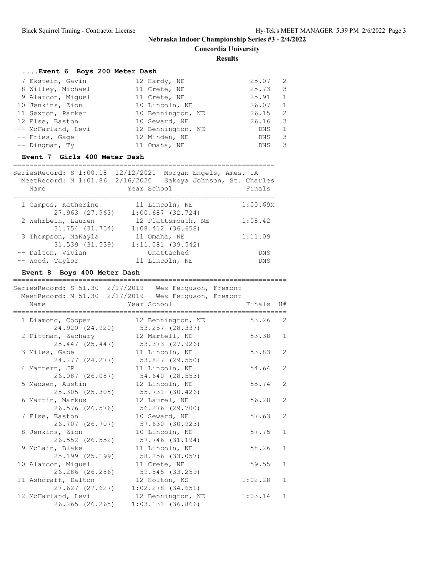**Concordia University**

**Results**

# **....Event 6 Boys 200 Meter Dash**

| 7 Ekstein, Gavin   | 12 Hardy, NE      | 25.07      | -2 |
|--------------------|-------------------|------------|----|
|                    |                   |            |    |
| 8 Willey, Michael  | 11 Crete, NE      | 25.73      | -3 |
| 9 Alarcon, Miquel  | 11 Crete, NE      | 25.91      | 1  |
| 10 Jenkins, Zion   | 10 Lincoln, NE    | 26.07      | 1  |
| 11 Sexton, Parker  | 10 Bennington, NE | 26.15      | -2 |
| 12 Else, Easton    | 10 Seward, NE     | 26.16      | -3 |
| -- McFarland, Levi | 12 Bennington, NE | DNS        | 1  |
| -- Fries, Gage     | 12 Minden, NE     | <b>DNS</b> | 3  |
| -- Dingman, Ty     | 11 Omaha, NE      | <b>DNS</b> | 3  |
|                    |                   |            |    |

## **Event 7 Girls 400 Meter Dash**

| SeriesRecord: S 1:00.18<br>MeetRecord: M 1:01.86 2/16/2020<br>Name | 12/12/2021<br>Morgan Engels, Ames, IA<br>Sakoya Johnson, St. Charles<br>Year School | Finals     |
|--------------------------------------------------------------------|-------------------------------------------------------------------------------------|------------|
|                                                                    |                                                                                     |            |
| 1 Campos, Katherine                                                | 11 Lincoln, NE                                                                      | 1:00.69M   |
| 27.963 (27.963)                                                    | $1:00.687$ (32.724)                                                                 |            |
| 2 Wehrbein, Lauren                                                 | 12 Plattsmouth, NE                                                                  | 1:08.42    |
| 31.754 (31.754)                                                    | $1:08.412$ $(36.658)$                                                               |            |
| 3 Thompson, MaKayla                                                | 11 Omaha, NE                                                                        | 1:11.09    |
| 31.539 (31.539)                                                    | $1:11.081$ (39.542)                                                                 |            |
| -- Dalton, Vivian                                                  | Unattached                                                                          | DNS        |
| -- Wood, Taylor                                                    | 11 Lincoln, NE                                                                      | <b>DNS</b> |

## **Event 8 Boys 400 Meter Dash**

| SeriesRecord: S 51.30 2/17/2019 Wes Ferguson, Fremont       |                                                                                                      |         |                |
|-------------------------------------------------------------|------------------------------------------------------------------------------------------------------|---------|----------------|
| MeetRecord: M 51.30 2/17/2019 Wes Ferguson, Fremont<br>Name | Year School in the School and the School and the School and the School and the School and the School | Finals  | H#             |
| 1 Diamond, Cooper<br>24.920 (24.920)                        | 12 Bennington, NE<br>53.257 (28.337)                                                                 | 53.26   | 2              |
| 2 Pittman, Zachary<br>25.447 (25.447)                       | 12 Martell, NE<br>53.373 (27.926)                                                                    | 53.38   | $\mathbf{1}$   |
| 3 Miles, Gabe<br>24.277 (24.277)                            | 11 Lincoln, NE<br>53.827 (29.550)                                                                    | 53.83   | 2              |
| 4 Mattern, JP<br>26.087 (26.087)                            | 11 Lincoln, NE<br>54.640 (28.553)                                                                    | 54.64   | $\overline{2}$ |
| 5 Madsen, Austin<br>25.305(25.305)                          | 12 Lincoln, NE<br>55.731 (30.426)                                                                    | 55.74   | 2              |
| 6 Martin, Markus<br>26.576 (26.576)                         | 12 Laurel, NE<br>56.276 (29.700)                                                                     | 56.28   | $\overline{2}$ |
| 7 Else, Easton<br>26.707 (26.707)                           | 10 Seward, NE<br>57.630 (30.923)                                                                     | 57.63   | $\overline{2}$ |
| 8 Jenkins, Zion<br>26.552 (26.552)                          | 10 Lincoln, NE<br>57.746 (31.194)                                                                    | 57.75   | $\mathbf{1}$   |
| 9 McLain, Blake<br>25.199 (25.199)                          | 11 Lincoln, NE<br>58.256 (33.057)                                                                    | 58.26   | $\mathbf{1}$   |
| 10 Alarcon, Miquel<br>26.286 (26.286)                       | 11 Crete, NE<br>59.545 (33.259)                                                                      | 59.55   | $\mathbf{1}$   |
| 11 Ashcraft, Dalton<br>27.627 (27.627)                      | 12 Holton, KS<br>$1:02.278$ $(34.651)$                                                               | 1:02.28 | $\mathbf{1}$   |
| 12 McFarland, Levi<br>26.265 (26.265)                       | 12 Bennington, NE<br>1:03.131(36.866)                                                                | 1:03.14 | $\mathbf{1}$   |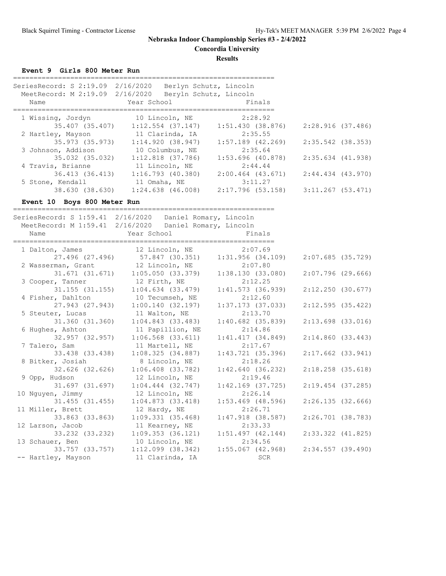**Concordia University**

**Results**

**Event 9 Girls 800 Meter Run**

| SeriesRecord: S 2:19.09 2/16/2020<br>MeetRecord: M 2:19.09 2/16/2020<br>Name | Berlyn Schutz, Lincoln<br>Beryln Schutz, Lincoln<br>Year School | Finals                |
|------------------------------------------------------------------------------|-----------------------------------------------------------------|-----------------------|
| 1 Wissing, Jordyn                                                            | 10 Lincoln, NE                                                  | 2:28.92               |
| 35.407 (35.407)                                                              | $1:12.554$ (37.147)                                             | 1:51.430(38.876)      |
| 2 Hartley, Mayson                                                            | 11 Clarinda, IA                                                 | 2:35.55               |
| 35.973 (35.973)                                                              | 1:14.920(38.947)                                                | $1:57.189$ (42.269)   |
| 3 Johnson, Addison                                                           | 10 Columbus, NE                                                 | 2:35.64               |
| 35.032 (35.032)                                                              | $1:12.818$ (37.786)                                             | $1:53.696$ (40.878)   |
| 4 Travis, Brianne                                                            | 11 Lincoln, NE                                                  | 2:44.44               |
| 36.413 (36.413)                                                              | $1:16.793$ (40.380)                                             | $2:00.464$ $(43.671)$ |
| 5 Stone, Kendall                                                             | 11 Omaha, NE                                                    | 3:11.27               |
| 38.630 (38.630)                                                              | $1:24.638$ $(46.008)$                                           | 2:17.796 (53.158)     |

**Event 10 Boys 800 Meter Run**

================================================================ SeriesRecord: S 1:59.41 2/16/2020 Daniel Romary, Lincoln MeetRecord: M 1:59.41 2/16/2020 Daniel Romary, Lincoln Name **Year School** Finals ================================================================ 1 Dalton, James 12 Lincoln, NE 2:07.69 27.496 (27.496) 57.847 (30.351) 1:31.956 (34.109) 2:07.685 (35.729) 2 Wasserman, Grant 12 Lincoln, NE 2:07.80 31.671 (31.671) 1:05.050 (33.379) 1:38.130 (33.080) 2:07.796 (29.666) 3 Cooper, Tanner 12 Firth, NE 2:12.25 31.155 (31.155) 1:04.634 (33.479) 1:41.573 (36.939) 2:12.250 (30.677) 4 Fisher, Dahlton 10 Tecumseh, NE 2:12.60 27.943 (27.943) 1:00.140 (32.197) 1:37.173 (37.033) 2:12.595 (35.422) 5 Steuter, Lucas 11 Walton, NE 2:13.70 31.360 (31.360) 1:04.843 (33.483) 1:40.682 (35.839) 2:13.698 (33.016) 6 Hughes, Ashton 11 Papillion, NE 2:14.86 32.957 (32.957) 1:06.568 (33.611) 1:41.417 (34.849) 2:14.860 (33.443) 7 Talero, Sam 11 Martell, NE 2:17.67 33.438 (33.438) 1:08.325 (34.887) 1:43.721 (35.396) 2:17.662 (33.941) 8 Bitker, Josiah 8 Lincoln, NE 2:18.26 32.626 (32.626) 1:06.408 (33.782) 1:42.640 (36.232) 2:18.258 (35.618) 9 Opp, Hudson 12 Lincoln, NE 2:19.46 31.697 (31.697) 1:04.444 (32.747) 1:42.169 (37.725) 2:19.454 (37.285) 10 Nguyen, Jimmy 12 Lincoln, NE 2:26.14 31.455 (31.455) 1:04.873 (33.418) 1:53.469 (48.596) 2:26.135 (32.666) 11 Miller, Brett 12 Hardy, NE 2:26.71 33.863 (33.863) 1:09.331 (35.468) 1:47.918 (38.587) 2:26.701 (38.783) 12 Larson, Jacob 11 Kearney, NE 2:33.33 33.232 (33.232) 1:09.353 (36.121) 1:51.497 (42.144) 2:33.322 (41.825) 13 Schauer, Ben 10 Lincoln, NE 2:34.56 33.757 (33.757) 1:12.099 (38.342) 1:55.067 (42.968) 2:34.557 (39.490) -- Hartley, Mayson 11 Clarinda, IA 3CR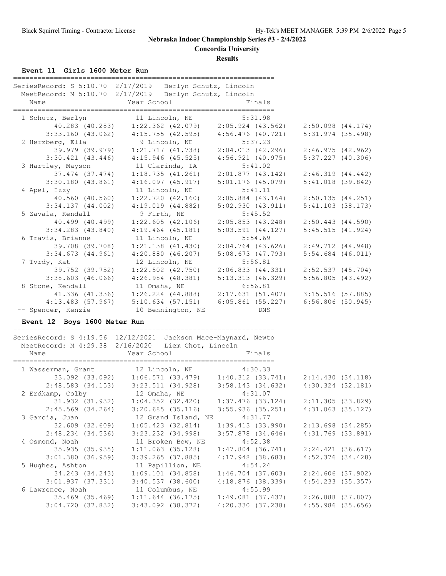**Concordia University**

**Results**

**Event 11 Girls 1600 Meter Run**

| SeriesRecord: S 5:10.70 2/17/2019 Berlyn Schutz, Lincoln<br>MeetRecord: M 5:10.70 2/17/2019 Berlyn Schutz, Lincoln |                                                                       |                                         |                       |
|--------------------------------------------------------------------------------------------------------------------|-----------------------------------------------------------------------|-----------------------------------------|-----------------------|
| Name                                                                                                               | Year School                                                           | Finals                                  |                       |
| 1 Schutz, Berlyn 11 Lincoln, NE 5:31.98                                                                            |                                                                       |                                         |                       |
|                                                                                                                    | 40.283 (40.283) 1:22.362 (42.079) 2:05.924 (43.562)                   |                                         | $2:50.098$ $(44.174)$ |
|                                                                                                                    | $3:33.160$ (43.062) $4:15.755$ (42.595) $4:56.476$ (40.721)           |                                         | $5:31.974$ (35.498)   |
| 2 Herzberg, Ella                                                                                                   | 9 Lincoln, NE                                                         | 5:37.23                                 |                       |
|                                                                                                                    |                                                                       |                                         | 2:46.975(42.962)      |
|                                                                                                                    | $3:30.421$ (43.446) $4:15.946$ (45.525)                               | 4:56.921 (40.975)                       | $5:37.227$ (40.306)   |
| 3 Hartley, Mayson                                                                                                  | 11 Clarinda, IA                                                       | 5:41.02                                 |                       |
|                                                                                                                    | 37.474 (37.474) 1:18.735 (41.261) 2:01.877 (43.142) 2:46.319 (44.442) |                                         |                       |
|                                                                                                                    | $3:30.180$ (43.861) $4:16.097$ (45.917)                               | 5:01.176 (45.079)                       | $5:41.018$ (39.842)   |
| 4 Apel, Izzy                                                                                                       | 11 Lincoln, NE                                                        | 5:41.11                                 |                       |
| 40.560 (40.560)                                                                                                    | $1:22.720$ $(42.160)$                                                 | $2:05.884$ $(43.164)$                   | 2:50.135(44.251)      |
|                                                                                                                    | $3:34.137$ (44.002) $4:19.019$ (44.882) $5:02.930$ (43.911)           |                                         | 5:41.103(38.173)      |
| 5 Zavala, Kendall                                                                                                  | 9 Firth, NE                                                           | 5:45.52                                 |                       |
|                                                                                                                    | 40.499 (40.499) 1:22.605 (42.106)                                     | $2:05.853$ (43.248) $2:50.443$ (44.590) |                       |
| $3:34.283$ $(43.840)$                                                                                              | $4:19.464$ $(45.181)$                                                 | $5:03.591$ $(44.127)$                   | 5:45.515(41.924)      |
| 6 Travis, Brianne                                                                                                  | 11 Lincoln, NE                                                        | 5:54.69                                 |                       |
|                                                                                                                    |                                                                       |                                         | 2:49.712 (44.948)     |
|                                                                                                                    | $3:34.673$ (44.961) $4:20.880$ (46.207)                               | 5:08.673 (47.793)                       | $5:54.684$ $(46.011)$ |
| 7 Tvrdy, Kat                                                                                                       | 12 Lincoln, NE                                                        | 5:56.81                                 |                       |
|                                                                                                                    | 39.752 (39.752) 1:22.502 (42.750)                                     | 2:06.833 (44.331)                       | $2:52.537$ (45.704)   |
|                                                                                                                    | $3:38.603$ (46.066) $4:26.984$ (48.381) $5:13.313$ (46.329)           |                                         | 5:56.805(43.492)      |
| 8 Stone, Kendall                                                                                                   | 11 Omaha, NE                                                          | 6:56.81                                 |                       |
|                                                                                                                    | 41.336 (41.336) 1:26.224 (44.888) 2:17.631 (51.407) 3:15.516 (57.885) |                                         |                       |
|                                                                                                                    | $4:13.483$ (57.967) 5:10.634 (57.151) 6:05.861 (55.227)               |                                         | $6:56.806$ (50.945)   |
| -- Spencer, Kenzie 10 Bennington, NE                                                                               |                                                                       | <b>DNS</b>                              |                       |
| Event 12 Boys 1600 Meter Run                                                                                       |                                                                       |                                         |                       |

#### ================================================================ SeriesRecord: S 4:19.56 12/12/2021 Jackson Mace-Maynard, Newto MeetRecord: M 4:29.38 2/16/2020 Liem Chot, Lincoln Name **Year School** Finals ================================================================ 1 Wasserman, Grant 12 Lincoln, NE 4:30.33 33.092 (33.092) 1:06.571 (33.479) 1:40.312 (33.741) 2:14.430 (34.118) 2:48.583 (34.153) 3:23.511 (34.928) 3:58.143 (34.632) 4:30.324 (32.181) 2 Erdkamp, Colby 12 Omaha, NE 4:31.07 31.932 (31.932) 1:04.352 (32.420) 1:37.476 (33.124) 2:11.305 (33.829) 2:45.569 (34.264) 3:20.685 (35.116) 3:55.936 (35.251) 4:31.063 (35.127) 3 Garcia, Juan 12 Grand Island, NE 4:31.77 32.609 (32.609) 1:05.423 (32.814) 1:39.413 (33.990) 2:13.698 (34.285) 2:48.234 (34.536) 3:23.232 (34.998) 3:57.878 (34.646) 4:31.769 (33.891) 4 Osmond, Noah 11 Broken Bow, NE 4:52.38 35.935 (35.935) 1:11.063 (35.128) 1:47.804 (36.741) 2:24.421 (36.617) 3:01.380 (36.959) 3:39.265 (37.885) 4:17.948 (38.683) 4:52.376 (34.428) 5 Hughes, Ashton 11 Papillion, NE 4:54.24 34.243 (34.243) 1:09.101 (34.858) 1:46.704 (37.603) 2:24.606 (37.902) 3:01.937 (37.331) 3:40.537 (38.600) 4:18.876 (38.339) 4:54.233 (35.357) 6 Lawrence, Noah 11 Columbus, NE 4:55.99 35.469 (35.469) 1:11.644 (36.175) 1:49.081 (37.437) 2:26.888 (37.807) 3:04.720 (37.832) 3:43.092 (38.372) 4:20.330 (37.238) 4:55.986 (35.656)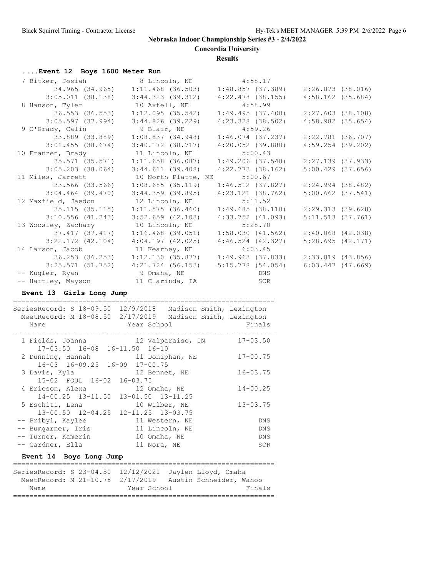**Concordia University**

**Results**

# **....Event 12 Boys 1600 Meter Run**

| 7 Bitker, Josiah            | 8 Lincoln, NE                           | 4:58.17                      |                       |
|-----------------------------|-----------------------------------------|------------------------------|-----------------------|
|                             | 34.965 (34.965) 1:11.468 (36.503)       | 1:48.857 (37.389)            | 2:26.873 (38.016)     |
|                             | $3:05.011$ (38.138) $3:44.323$ (39.312) | $4:22.478$ (38.155)          | $4:58.162$ (35.684)   |
| 8 Hanson, Tyler             | 10 Axtell, NE                           | 4:58.99                      |                       |
| 36.553 (36.553)             | 1:12.095(35.542)                        | 1:49.495(37.400)             | $2:27.603$ (38.108)   |
| 3:05.597(37.994)            | 3:44.826 (39.229)                       | 4:23.328 (38.502)            | $4:58.982$ $(35.654)$ |
| 9 O'Grady, Calin            | 9 Blair, NE                             | 4:59.26                      |                       |
| 33.889 (33.889)             | 1:08.837(34.948)                        | $1:46.074$ (37.237)          | $2:22.781$ (36.707)   |
| $3:01.455$ (38.674)         | $3:40.172$ $(38.717)$                   | $4:20.052$ (39.880)          | $4:59.254$ (39.202)   |
| 10 Franzen, Brady           | 11 Lincoln, NE                          | 5:00.43                      |                       |
| 35.571 (35.571)             | $1:11.658$ (36.087)                     | 1:49.206 (37.548)            | $2:27.139$ (37.933)   |
| 3:05.203 (38.064)           | 3:44.611(39.408)                        | $4:22.773$ (38.162)          | $5:00.429$ (37.656)   |
| 11 Miles, Jarrett           | 10 North Platte, NE 5:00.67             |                              |                       |
| 33.566 (33.566)             | $1:08.685$ (35.119)                     | 1:46.512 (37.827)            | $2:24.994$ (38.482)   |
| 3:04.464 (39.470)           | 3:44.359 (39.895)                       | 4:23.121 (38.762)            | $5:00.662$ $(37.541)$ |
| 12 Maxfield, Jaedon         | 12 Lincoln, NE                          | 5:11.52                      |                       |
| 35.115 (35.115)             | 1:11.575(36.460)                        | 1:49.685 (38.110)            | 2:29.313 (39.628)     |
| 3:10.556(41.243)            | $3:52.659$ $(42.103)$                   | $4:33.752$ $(41.093)$        | 5:11.513(37.761)      |
| 13 Woosley, Zachary         | 10 Lincoln, NE                          | 5:28.70                      |                       |
| 37.417 (37.417)             | $1:16.468$ (39.051)                     | 1:58.030(41.562)             | $2:40.068$ $(42.038)$ |
| $3:22.172$ (42.104)         | $4:04.197$ $(42.025)$                   | $4:46.524$ $(42.327)$        | 5:28.695(42.171)      |
| 14 Larson, Jacob            | 11 Kearney, NE                          | 6:03.45                      |                       |
|                             |                                         | 1:49.963 (37.833)            | 2:33.819 (43.856)     |
|                             | $3:25.571$ (51.752) $4:21.724$ (56.153) | 5:15.778 (54.054)            | $6:03.447$ $(47.669)$ |
| -- Kugler, Ryan 9 Omaha, NE |                                         | <b>EXAMPLE STATE DISPONS</b> |                       |
| -- Hartley, Mayson          | 11 Clarinda, IA                         | <b>SCR</b>                   |                       |

# **Event 13 Girls Long Jump**

================================================================

| Name                                                                | SeriesRecord: S 18-09.50 12/9/2018 Madison Smith, Lexington<br>MeetRecord: M 18-08.50 2/17/2019 Madison Smith, Lexington<br>Year School | Finals       |
|---------------------------------------------------------------------|-----------------------------------------------------------------------------------------------------------------------------------------|--------------|
| 17-03.50 16-08 16-11.50 16-10                                       | 1 Fields, Joanna 12 Valparaiso, IN                                                                                                      | $17 - 03.50$ |
| 2 Dunning, Hannah (11 Doniphan, NE<br>16-03 16-09.25 16-09 17-00.75 |                                                                                                                                         | $17 - 00.75$ |
| 3 Davis, Kyla<br>15-02 FOUL 16-02 16-03.75                          | 12 Bennet, NE                                                                                                                           | $16 - 03.75$ |
| 4 Ericson, Alexa                                                    | 12 Omaha, NE<br>14-00.25 13-11.50 13-01.50 13-11.25                                                                                     | $14 - 00.25$ |
| 5 Eschiti, Lena<br>13-00.50 12-04.25 12-11.25 13-03.75              | 10 Wilber, NE                                                                                                                           | $13 - 03.75$ |
| -- Pribyl, Kaylee                                                   | 11 Western, NE                                                                                                                          | <b>DNS</b>   |
| -- Bumgarner, Iris 11 Lincoln, NE                                   |                                                                                                                                         | DNS          |
| -- Turner, Kamerin                                                  | 10 Omaha, NE                                                                                                                            | <b>DNS</b>   |
| -- Gardner, Ella                                                    | 11 Nora, NE                                                                                                                             | <b>SCR</b>   |
| Event 14 Boys Long Jump                                             |                                                                                                                                         |              |
|                                                                     | SeriesRecord: S 23-04.50 12/12/2021 Jaylen Lloyd, Omaha                                                                                 |              |
|                                                                     | MeetRecord: M 21-10.75 2/17/2019 Austin Schneider, Wahoo                                                                                |              |
| Name                                                                | Year School                                                                                                                             | Finals       |

================================================================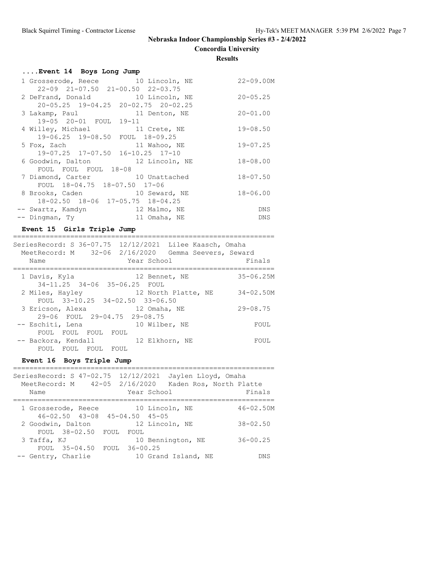**Concordia University**

**Results**

===========================

| Event 14 Boys Long Jump                                                        |              |
|--------------------------------------------------------------------------------|--------------|
| 1 Grosserode, Reece 10 Lincoln, NE<br>$22-09$ $21-07.50$ $21-00.50$ $22-03.75$ | 22-09.00M    |
| 2 DeFrand, Donald 10 Lincoln, NE<br>$20-05.25$ 19-04.25 20-02.75 20-02.25      | $20 - 05.25$ |
| 3 Lakamp, Paul 11 Denton, NE<br>19-05 20-01 FOUL 19-11                         | $20 - 01.00$ |
| 4 Willey, Michael 11 Crete, NE<br>19-06.25 19-08.50 FOUL 18-09.25              | $19 - 08.50$ |
| 5 Fox, Zach<br>11 Wahoo, NE<br>19-07.25 17-07.50 16-10.25 17-10                | $19 - 07.25$ |
| 6 Goodwin, Dalton 12 Lincoln, NE                                               | $18 - 08.00$ |
| FOUL FOUL FOUL 18-08<br>7 Diamond, Carter 10 Unattached                        | $18 - 07.50$ |
| FOUL 18-04.75 18-07.50 17-06<br>8 Brooks, Caden 10 Seward, NE                  | $18 - 06.00$ |
| 18-02.50 18-06 17-05.75 18-04.25<br>-- Swartz, Kamdyn<br>12 Malmo, NE          | DNS          |
| -- Dingman, Ty<br>11 Omaha, NE                                                 | DNS          |

## **Event 15 Girls Triple Jump**

| SeriesRecord: S 36-07.75 12/12/2021 Lilee Kaasch, Omaha<br>MeetRecord: M 32-06 2/16/2020 Gemma Seevers, Seward<br>Year School<br>Name | Finals        |
|---------------------------------------------------------------------------------------------------------------------------------------|---------------|
| 1 Davis, Kyla<br>12 Bennet, NE<br>34-11.25 34-06 35-06.25 FOUL                                                                        | $35 - 06.25M$ |
| 2 Miles, Hayley<br>12 North Platte, NE<br>FOUL 33-10.25 34-02.50 33-06.50                                                             | $34 - 02.50M$ |
| 3 Ericson, Alexa<br>12 Omaha, NE<br>29-06 FOUL 29-04.75 29-08.75                                                                      | $29 - 08.75$  |
| 10 Wilber, NE<br>-- Eschiti, Lena<br>FOUL FOUL FOUL<br>FOUL                                                                           | FOUL          |
| -- Backora, Kendall<br>12 Elkhorn, NE<br>FOUL FOUL FOUL FOUL                                                                          | FOUL          |

# **Event 16 Boys Triple Jump**

| SeriesRecord: S 47-02.75 12/12/2021<br>MeetRecord: M 42-05 2/16/2020<br>Name | Jaylen Lloyd, Omaha<br>Kaden Ros, North Platte<br>Year School | Finals        |
|------------------------------------------------------------------------------|---------------------------------------------------------------|---------------|
| 1 Grosserode, Reece                                                          | 10 Lincoln, NE<br>46-02.50 43-08 45-04.50 45-05               | $46 - 02.50M$ |
| 2 Goodwin, Dalton<br>FOUL 38-02.50                                           | 12 Lincoln, NE<br>FOUL<br>FOUL                                | $38 - 02.50$  |
| 3 Taffa, KJ                                                                  | 10 Bennington, NE                                             | $36 - 00.25$  |
| FOUL 35-04.50 FOUL 36-00.25<br>-- Gentry, Charlie                            | 10 Grand Island, NE                                           | DN S          |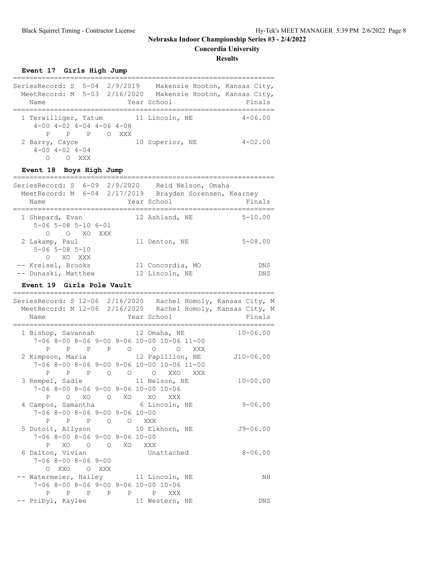**Concordia University**

**Results**

**Event 17 Girls High Jump**

| SeriesRecord: S 5-04 2/9/2019<br>MeetRecord: M 5-03 2/16/2020<br>Name          |           |     | Makenzie Hooton, Kansas City,<br>Makenzie Hooton, Kansas City,<br>Year School | Finals      |
|--------------------------------------------------------------------------------|-----------|-----|-------------------------------------------------------------------------------|-------------|
| 1 Terwilliger, Tatum 11 Lincoln, NE<br>$4-00$ $4-02$ $4-04$ $4-06$ $4-08$<br>P | $P$ $P$ 0 | XXX |                                                                               | $4 - 06.00$ |
| 2 Barry, Cayce<br>$4 - 00$ $4 - 02$ $4 - 04$<br>Ω                              | XXX       |     | 10 Superior, NE                                                               | $4 - 02.00$ |

## **Event 18 Boys High Jump**

| SeriesRecord: S 6-09 2/9/2020 Reid Nelson, Omaha<br>MeetRecord: M 6-04 2/17/2019<br>Name | Brayden Sorensen, Kearney<br>Year School | Finals      |
|------------------------------------------------------------------------------------------|------------------------------------------|-------------|
|                                                                                          |                                          |             |
| 1 Shepard, Evan                                                                          | 12 Ashland, NE                           | $5 - 10.00$ |
| $5 - 06$ $5 - 08$ $5 - 10$ $6 - 01$                                                      |                                          |             |
| O XO XXX<br>$\bigcirc$                                                                   |                                          |             |
| 2 Lakamp, Paul                                                                           | 11 Denton, NE                            | $5 - 08.00$ |
| $5 - 06$ $5 - 08$ $5 - 10$                                                               |                                          |             |
| XO XXX<br>$\Omega$                                                                       |                                          |             |
| -- Kreisel, Brooks                                                                       | 11 Concordia, MO                         | <b>DNS</b>  |
| -- Dunaski, Matthew                                                                      | 12 Lincoln, NE                           | <b>DNS</b>  |

## **Event 19 Girls Pole Vault**

|                                      |             |  |                                  |                                            | SeriesRecord: S 12-06 2/16/2020 Rachel Homoly, Kansas City, M                    |              |
|--------------------------------------|-------------|--|----------------------------------|--------------------------------------------|----------------------------------------------------------------------------------|--------------|
|                                      |             |  |                                  |                                            | MeetRecord: M 12-06 2/16/2020 Rachel Homoly, Kansas City, M                      |              |
| Name<br>============================ |             |  |                                  |                                            | <b>Example 2</b> Year School <b>Example 2</b> Finals<br>------------------------ |              |
|                                      |             |  |                                  |                                            | 1 Bishop, Savannah 12 Omaha, NE 10-06.00                                         |              |
|                                      |             |  |                                  | 7-06 8-00 8-06 9-00 9-06 10-00 10-06 11-00 |                                                                                  |              |
|                                      |             |  |                                  | P P P P O O O XXX                          |                                                                                  |              |
|                                      |             |  |                                  |                                            | 2 Kimpson, Maria (12 Papillion, NE 110-06.00                                     |              |
|                                      |             |  |                                  | 7-06 8-00 8-06 9-00 9-06 10-00 10-06 11-00 |                                                                                  |              |
|                                      |             |  |                                  | P P P O O O XXO XXX                        |                                                                                  |              |
| 3 Rempel, Sadie 11 Nelson, NE        |             |  |                                  |                                            |                                                                                  | $10 - 00.00$ |
|                                      |             |  |                                  | 7-06 8-00 8-06 9-00 9-06 10-00 10-06       |                                                                                  |              |
|                                      |             |  |                                  | P O XO O XO XO XXX                         |                                                                                  |              |
| 4 Campos, Samantha 6 Lincoln, NE     |             |  |                                  |                                            |                                                                                  | $9 - 06.00$  |
|                                      |             |  | $7-06$ 8-00 8-06 9-00 9-06 10-00 |                                            |                                                                                  |              |
|                                      |             |  | P P P O O XXX                    |                                            |                                                                                  |              |
| 5 Dutoit, Allyson 10 Elkhorn, NE     |             |  |                                  |                                            |                                                                                  | $J9 - 06.00$ |
|                                      |             |  | $7-06$ 8-00 8-06 9-00 9-06 10-00 |                                            |                                                                                  |              |
|                                      |             |  | P XO O O XO XXX                  |                                            |                                                                                  |              |
| 6 Dalton, Vivian Mattached           |             |  |                                  |                                            |                                                                                  | $8 - 06.00$  |
| $7 - 068 - 008 - 069 - 00$           |             |  |                                  |                                            |                                                                                  |              |
|                                      | O XXO O XXX |  |                                  |                                            |                                                                                  |              |
| -- Watermeier, Hailey 11 Lincoln, NE |             |  |                                  |                                            |                                                                                  | NH           |
|                                      |             |  |                                  | 7-06 8-00 8-06 9-00 9-06 10-00 10-06       |                                                                                  |              |
|                                      |             |  | P P P P P P                      | XXX                                        |                                                                                  |              |
| -- Pribyl, Kaylee 11 Western, NE     |             |  |                                  |                                            |                                                                                  | DNS          |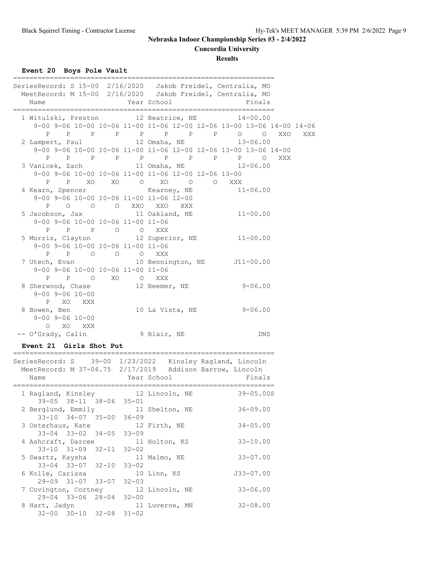**Concordia University**

**Results**

**Event 20 Boys Pole Vault**

| SeriesRecord: S 15-00 2/16/2020 Jakob Freidel, Centralia, MO | MeetRecord: M 15-00 2/16/2020 Jakob Freidel, Centralia, MO            |
|--------------------------------------------------------------|-----------------------------------------------------------------------|
| Year School<br>Name                                          | Finals                                                                |
|                                                              |                                                                       |
|                                                              | 1 Witulski, Preston 12 Beatrice, NE 14-00.00                          |
|                                                              | 9-00 9-06 10-00 10-06 11-00 11-06 12-00 12-06 13-00 13-06 14-00 14-06 |
|                                                              | P P P P P P P P O O XXO<br>XXX                                        |
|                                                              | 2 Lampert, Paul 12 Omaha, NE 13-06.00                                 |
|                                                              | 9-00 9-06 10-00 10-06 11-00 11-06 12-00 12-06 13-00 13-06 14-00       |
|                                                              | P P P P P P P P P P O XXX                                             |
|                                                              | 3 Vanicek, Zach 11 Omaha, NE 12-06.00                                 |
|                                                              | 9-00 9-06 10-00 10-06 11-00 11-06 12-00 12-06 13-00                   |
|                                                              | P P XO XO O XO O O XXX                                                |
|                                                              | 4 Kearn, Spencer Kearney, NE 11-06.00                                 |
| 9-00 9-06 10-00 10-06 11-00 11-06 12-00                      |                                                                       |
| P O O O XXO XXO XXX                                          |                                                                       |
|                                                              | 5 Jacobson, Jax 11 Oakland, NE 11-00.00                               |
| 9-00 9-06 10-00 10-06 11-00 11-06                            |                                                                       |
| P P P O O XXX                                                |                                                                       |
|                                                              | 5 Morris, Clayton 12 Superior, NE 11-00.00                            |
| 9-00 9-06 10-00 10-06 11-00 11-06                            |                                                                       |
| P P O O O XXX                                                |                                                                       |
|                                                              |                                                                       |
| 9-00 9-06 10-00 10-06 11-00 11-06                            |                                                                       |
| P P O XO O XXX                                               |                                                                       |
|                                                              | 8 Sherwood, Chase 12 Beemer, NE 9-06.00                               |
| $9 - 00$ $9 - 06$ $10 - 00$                                  |                                                                       |
| P XO XXX                                                     |                                                                       |
| 8 Bowen, Ben                                                 | 10 La Vista, NE 9-06.00                                               |
| $9 - 00$ $9 - 06$ $10 - 00$                                  |                                                                       |
| O XO XXX                                                     |                                                                       |
| -- O'Grady, Calin 9 Blair, NE                                | <b>DNS</b>                                                            |
|                                                              |                                                                       |

# **Event 21 Girls Shot Put**

| SeriesRecord: S 39-00 1/23/2022                                                         | Kinsley Ragland, Lincoln<br>MeetRecord: M 37-06.75 2/17/2019 Addison Barrow, Lincoln |
|-----------------------------------------------------------------------------------------|--------------------------------------------------------------------------------------|
| Name                                                                                    | Finals<br>Year School                                                                |
| 1 Ragland, Kinsley 12 Lincoln, NE                                                       | $39 - 05.00S$                                                                        |
| 39-05 38-11 38-06 35-01<br>2 Berglund, Emmily 11 Shelton, NE<br>33-10 34-07 35-00 36-09 | $36 - 09.00$                                                                         |
| 3 Osterhaus, Kate 12 Firth, NE<br>$33 - 04$ $33 - 02$ $34 - 05$ $33 - 09$               | $34 - 05.00$                                                                         |
| 4 Ashcraft, Darcee 11 Holton, KS<br>$33-10$ $31-09$ $32-11$ $32-02$                     | $33 - 10.00$                                                                         |
| 5 Swartz, Kaysha (11 Malmo, NE<br>33-04 33-07 32-10 33-02                               | $33 - 07.00$                                                                         |
| 6 Kolle, Carissa<br>$29-09$ $31-07$ $33-07$ $32-03$                                     | $J33 - 07.00$<br>10 Linn, KS                                                         |
| 7 Covington, Cortney 12 Lincoln, NE                                                     | $33 - 06.00$                                                                         |
| 29-04 33-06 28-04 32-00<br>8 Hart, Jadyn<br>$32 - 00$ $30 - 10$ $32 - 08$ $31 - 02$     | $32 - 08.00$<br>11 Luverne, MN                                                       |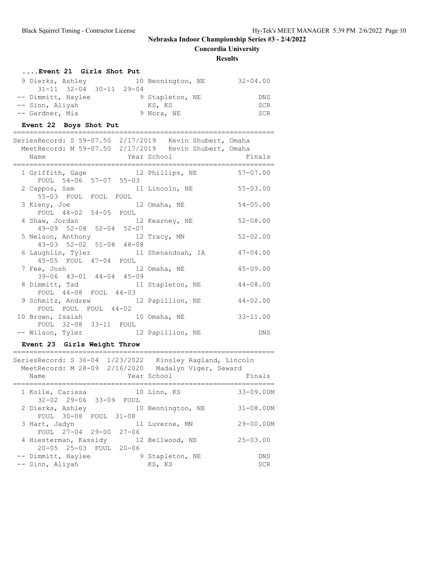**Concordia University**

================================================================

## **Results**

| Event 21 Girls Shot Put         |                                   |
|---------------------------------|-----------------------------------|
| 9 Dierks, Ashley                | 10 Bennington, NE<br>$32 - 04.00$ |
| $31-11$ $32-04$ $30-11$ $29-04$ |                                   |
| -- Dimmitt, Haylee              | 9 Stapleton, NE<br>DNS            |
| -- Sinn, Aliyah                 | <b>SCR</b><br>KS, KS              |
| -- Gardner, Mia                 | 9 Nora, NE<br><b>SCR</b>          |

#### **Event 22 Boys Shot Put**

#### ================================================================

| SeriesRecord: S 59-07.50 2/17/2019 Kevin Shubert, Omaha |                    |              |
|---------------------------------------------------------|--------------------|--------------|
| MeetRecord: M 59-07.50 2/17/2019 Kevin Shubert, Omaha   |                    |              |
| Name                                                    | Year School Finals |              |
| 1 Griffith, Gage 12 Phillips, NE 57-07.00               |                    |              |
| FOUL 54-06 57-07 55-03                                  |                    |              |
| 2 Cappos, Sam 11 Lincoln, NE 55-03.00                   |                    |              |
| 55-03 FOUL FOUL FOUL                                    |                    |              |
| 3 Kieny, Joe 12 Omaha, NE                               |                    | $54 - 05.00$ |
| FOUL 48-02 54-05 FOUL                                   |                    |              |
| 4 Shaw, Jordan 12 Kearney, NE                           |                    | $52 - 08.00$ |
| 49-09 52-08 52-04 52-07                                 |                    |              |
| 5 Nelson, Anthony 12 Tracy, MN                          |                    | $52 - 02.00$ |
| 43-03 52-02 51-08 48-08                                 |                    |              |
| 6 Laughlin, Tyler 11 Shenandoah, IA                     |                    | $47 - 04.00$ |
| 45-05 FOUL 47-04 FOUL                                   |                    |              |
| 7 Fee, Josh 12 Omaha, NE                                |                    | $45 - 09.00$ |
| 39-06 43-01 44-04 45-09                                 |                    |              |
| 8 Dimmitt, Tad 11 Stapleton, NE                         |                    | $44 - 08.00$ |
| FOUL 44-08 FOUL 44-03                                   |                    |              |
| 9 Schmitz, Andrew 12 Papillion, NE                      |                    | $44 - 02.00$ |
| FOUL FOUL FOUL 44-02                                    |                    |              |
| 10 Brown, Isaiah 10 Omaha, NE                           |                    | $33 - 11.00$ |
| FOUL 32-08 33-11 FOUL                                   |                    |              |
| -- Wilson, Tyler 12 Papillion, NE                       |                    | DNS          |

## **Event 23 Girls Weight Throw**

| MeetRecord: M 28-09 2/16/2020<br>Name      |  | SeriesRecord: S 36-04 1/23/2022 Kinsley Ragland, Lincoln<br>Madalyn Viger, Seward<br>Year School | Finals                   |
|--------------------------------------------|--|--------------------------------------------------------------------------------------------------|--------------------------|
| 1 Kolle, Carissa<br>32-02 29-06 33-09 FOUL |  | 10 Linn, KS                                                                                      | $33 - 09.00M$            |
| FOUL 30-08 FOUL 31-08                      |  | 2 Dierks, Ashley 10 Bennington, NE                                                               | $31 - 08.00M$            |
| 3 Hart, Jadyn<br>FOUL 27-04 29-00 27-06    |  | 11 Luverne, MN                                                                                   | $29 - 00.00M$            |
| 20-05 25-03 FOUL 20-06                     |  | 4 Hiesterman, Kassidy 12 Bellwood, NE                                                            | $25 - 03.00$             |
| -- Dimmitt, Haylee<br>-- Sinn, Aliyah      |  | 9 Stapleton, NE<br>KS, KS                                                                        | <b>DNS</b><br><b>SCR</b> |